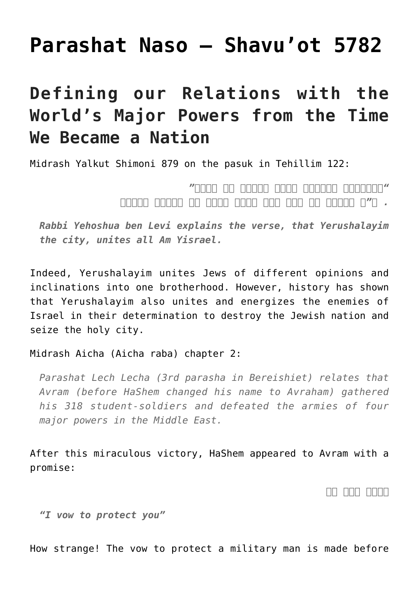## **[Parashat Naso – Shavu'ot 5782](https://nachmankahana.com/parashat-naso-shavuot-5782/)**

## **Defining our Relations with the World's Major Powers from the Time We Became a Nation**

Midrash Yalkut Shimoni 879 on the pasuk in Tehillim 122:

## *"ירושלים הבנויה כעיר שחברה לה יחדו" . א"ר יהושע בן לוי עיר שהיא עושה כל ישראל חברים*

*Rabbi Yehoshua ben Levi explains the verse, that Yerushalayim the city, unites all Am Yisrael.*

Indeed, Yerushalayim unites Jews of different opinions and inclinations into one brotherhood. However, history has shown that Yerushalayim also unites and energizes the enemies of Israel in their determination to destroy the Jewish nation and seize the holy city.

Midrash Aicha (Aicha raba) chapter 2:

*Parashat Lech Lecha (3rd parasha in Bereishiet) relates that Avram (before HaShem changed his name to Avraham) gathered his 318 student-soldiers and defeated the armies of four major powers in the Middle East.*

After this miraculous victory, HaShem appeared to Avram with a promise:

*אנכי מגן לך*

*"I vow to protect you"*

How strange! The vow to protect a military man is made before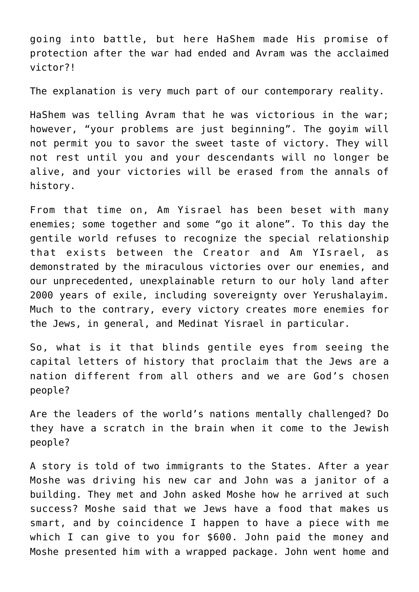going into battle, but here HaShem made His promise of protection after the war had ended and Avram was the acclaimed victor?!

The explanation is very much part of our contemporary reality.

HaShem was telling Avram that he was victorious in the war; however, "your problems are just beginning". The govim will not permit you to savor the sweet taste of victory. They will not rest until you and your descendants will no longer be alive, and your victories will be erased from the annals of history.

From that time on, Am Yisrael has been beset with many enemies; some together and some "go it alone". To this day the gentile world refuses to recognize the special relationship that exists between the Creator and Am YIsrael, as demonstrated by the miraculous victories over our enemies, and our unprecedented, unexplainable return to our holy land after 2000 years of exile, including sovereignty over Yerushalayim. Much to the contrary, every victory creates more enemies for the Jews, in general, and Medinat Yisrael in particular.

So, what is it that blinds gentile eyes from seeing the capital letters of history that proclaim that the Jews are a nation different from all others and we are God's chosen people?

Are the leaders of the world's nations mentally challenged? Do they have a scratch in the brain when it come to the Jewish people?

A story is told of two immigrants to the States. After a year Moshe was driving his new car and John was a janitor of a building. They met and John asked Moshe how he arrived at such success? Moshe said that we Jews have a food that makes us smart, and by coincidence I happen to have a piece with me which I can give to you for \$600. John paid the money and Moshe presented him with a wrapped package. John went home and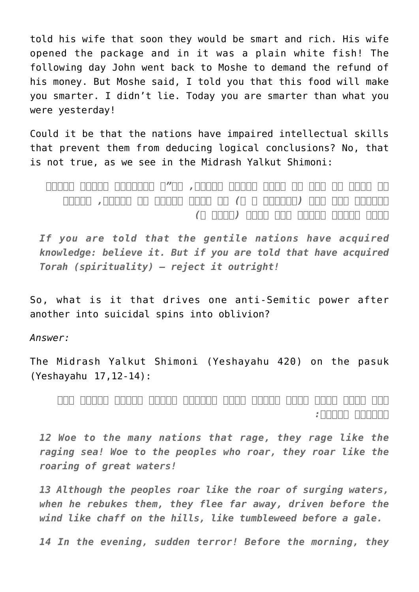told his wife that soon they would be smart and rich. His wife opened the package and in it was a plain white fish! The following day John went back to Moshe to demand the refund of his money. But Moshe said, I told you that this food will make you smarter. I didn't lie. Today you are smarter than what you were yesterday!

Could it be that the nations have impaired intellectual skills that prevent them from deducing logical conclusions? No, that is not true, as we see in the Midrash Yalkut Shimoni:

*אם יאמר לך אדם יש חכמה בגוים תאמין, הה"ד והאבדתי חכמים מאדום ותבונה מהר עשו (עובדיה א ח) יש תורה בגוים אל תאמין, דכתיב מלכה ושריה בגוים אין תורה (איכה ב)*

*If you are told that the gentile nations have acquired knowledge: believe it. But if you are told that have acquired Torah (spirituality) – reject it outright!*

So, what is it that drives one anti-Semitic power after another into suicidal spins into oblivion?

*Answer:*

The Midrash Yalkut Shimoni (Yeshayahu 420) on the pasuk (Yeshayahu 17,12-14):

*הוי המון עמים רבים כהמות ימים יהמיון ושאון לאמים כשאון מים כבירים ישאון:*

*12 Woe to the many nations that rage, they rage like the raging sea! Woe to the peoples who roar, they roar like the roaring of great waters!*

*13 Although the peoples roar like the roar of surging waters, when he rebukes them, they flee far away, driven before the wind like chaff on the hills, like tumbleweed before a gale.*

*14 In the evening, sudden terror! Before the morning, they*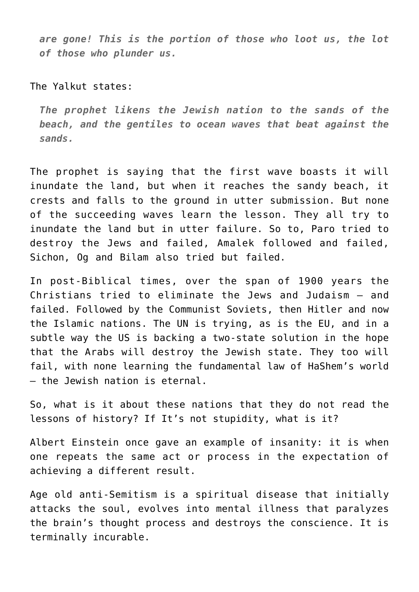*are gone! This is the portion of those who loot us, the lot of those who plunder us.*

The Yalkut states:

*The prophet likens the Jewish nation to the sands of the beach, and the gentiles to ocean waves that beat against the sands.*

The prophet is saying that the first wave boasts it will inundate the land, but when it reaches the sandy beach, it crests and falls to the ground in utter submission. But none of the succeeding waves learn the lesson. They all try to inundate the land but in utter failure. So to, Paro tried to destroy the Jews and failed, Amalek followed and failed, Sichon, Og and Bilam also tried but failed.

In post-Biblical times, over the span of 1900 years the Christians tried to eliminate the Jews and Judaism – and failed. Followed by the Communist Soviets, then Hitler and now the Islamic nations. The UN is trying, as is the EU, and in a subtle way the US is backing a two-state solution in the hope that the Arabs will destroy the Jewish state. They too will fail, with none learning the fundamental law of HaShem's world – the Jewish nation is eternal.

So, what is it about these nations that they do not read the lessons of history? If It's not stupidity, what is it?

Albert Einstein once gave an example of insanity: it is when one repeats the same act or process in the expectation of achieving a different result.

Age old anti-Semitism is a spiritual disease that initially attacks the soul, evolves into mental illness that paralyzes the brain's thought process and destroys the conscience. It is terminally incurable.